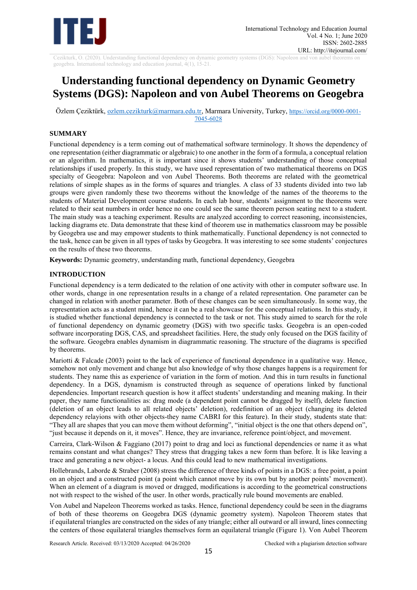

Cezikturk, O. (2020). Understanding functional dependency on dynamic geometry systems (DGS): Napoleon and von aubel theorems on geogebra. International technology and education journal, 4(1), 15-21.

# **Understanding functional dependency on Dynamic Geometry Systems (DGS): Napoleon and von Aubel Theorems on Geogebra**

Özlem Çeziktürk, [ozlem.cezikturk@marmara.edu.tr,](mailto:ozlem.cezikturk@marmara.edu.tr) Marmara University, Turkey, [https://orcid.org/0000-0001-](https://orcid.org/0000-0001-7045-6028) [7045-6028](https://orcid.org/0000-0001-7045-6028)

# **SUMMARY**

Functional dependency is a term coming out of mathematical software terminology. It shows the dependency of one representation (either diagrammatic or algebraic) to one another in the form of a formula, a conceptual relation or an algorithm. In mathematics, it is important since it shows students' understanding of those conceptual relationships if used properly. In this study, we have used representation of two mathematical theorems on DGS specialty of Geogebra: Napoleon and von Aubel Theorems. Both theorems are related with the geometrical relations of simple shapes as in the forms of squares and triangles. A class of 33 students divided into two lab groups were given randomly these two theorems without the knowledge of the names of the theorems to the students of Material Development course students. In each lab hour, students' assignment to the theorems were related to their seat numbers in order hence no one could see the same theorem person seating next to a student. The main study was a teaching experiment. Results are analyzed according to correct reasoning, inconsistencies, lacking diagrams etc. Data demonstrate that these kind of theorem use in mathematics classroom may be possible by Geogebra use and may empower students to think mathematically. Functional dependency is not connected to the task, hence can be given in all types of tasks by Geogebra. It was interesting to see some students' conjectures on the results of these two theorems.

**Keywords:** Dynamic geometry, understanding math, functional dependency, Geogebra

# **INTRODUCTION**

Functional dependency is a term dedicated to the relation of one activity with other in computer software use. In other words, change in one representation results in a change of a related representation. One parameter can be changed in relation with another parameter. Both of these changes can be seen simultaneously. In some way, the representation acts as a student mind, hence it can be a real showcase for the conceptual relations. In this study, it is studied whether functional dependency is connected to the task or not. This study aimed to search for the role of functional dependency on dynamic geometry (DGS) with two specific tasks. Geogebra is an open-coded software incorporating DGS, CAS, and spreadsheet facilities. Here, the study only focused on the DGS facility of the software. Geogebra enables dynamism in diagrammatic reasoning. The structure of the diagrams is specified by theorems.

Mariotti  $&$  Falcade (2003) point to the lack of experience of functional dependence in a qualitative way. Hence, somehow not only movement and change but also knowledge of why those changes happens is a requirement for students. They name this as experience of variation in the form of motion. And this in turn results in functional dependency. In a DGS, dynamism is constructed through as sequence of operations linked by functional dependencies. Important research question is how it affect students' understanding and meaning making. In their paper, they name functionalities as: drag mode (a dependent point cannot be dragged by itself), delete function (deletion of an object leads to all related objects' deletion), redefinition of an object (changing its deleted dependency relayions with other objects-they name CABRI for this feature). In their study, students state that: "They all are shapes that you can move them without deforming", "initial object is the one that others depend on", "just because it depends on it, it moves". Hence, they are invariance, reference point/object, and movement.

Carreira, Clark-Wilson & Faggiano (2017) point to drag and loci as functional dependencies or name it as what remains constant and what changes? They stress that dragging takes a new form than before. İt is like leaving a trace and generating a new object- a locus. And this could lead to new mathematical investigations.

Hollebrands, Laborde & Straber (2008) stress the difference of three kinds of points in a DGS: a free point, a point on an object and a constructed point (a point which cannot move by its own but by another points' movement). When an element of a diagram is moved or dragged, modifications is according to the geometrical constructions not with respect to the wished of the user. In other words, practically rule bound movements are enabled.

Von Aubel and Napeleon Theorems worked as tasks. Hence, functional dependency could be seen in the diagrams of both of these theorems on Geogebra DGS (dynamic geometry system). Napoleon Theorem states that if equilateral triangles are constructed on the sides of any triangle; either all outward or all inward, lines connecting the centers of those equilateral triangles themselves form an equilateral triangle (Figure 1). Von Aubel Theorem

Research Article. Received: 03/13/2020 Accepted: 04/26/2020 Checked with a plagiarism detection software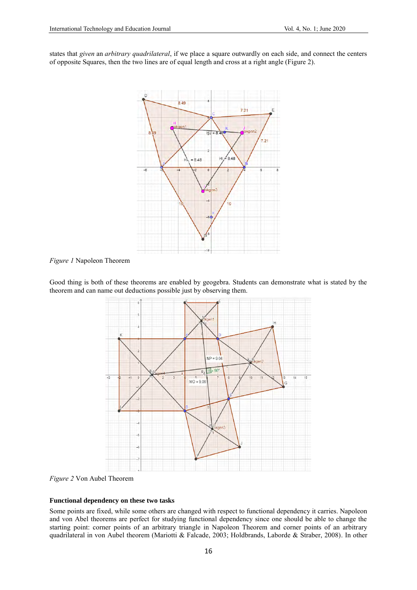states that *given* an *arbitrary quadrilateral*, if we place a square outwardly on each side, and connect the centers of opposite Squares, then the two lines are of equal length and cross at a right angle (Figure 2).



*Figure 1* Napoleon Theorem

Good thing is both of these theorems are enabled by geogebra. Students can demonstrate what is stated by the theorem and can name out deductions possible just by observing them.



*Figure 2* Von Aubel Theorem

#### **Functional dependency on these two tasks**

Some points are fixed, while some others are changed with respect to functional dependency it carries. Napoleon and von Abel theorems are perfect for studying functional dependency since one should be able to change the starting point: corner points of an arbitrary triangle in Napoleon Theorem and corner points of an arbitrary quadrilateral in von Aubel theorem (Mariotti & Falcade, 2003; Holdbrands, Laborde & Straber, 2008). In other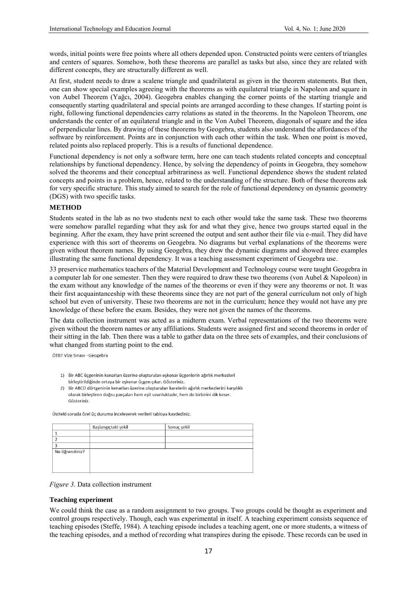words, initial points were free points where all others depended upon. Constructed points were centers of triangles and centers of squares. Somehow, both these theorems are parallel as tasks but also, since they are related with different concepts, they are structurally different as well.

At first, student needs to draw a scalene triangle and quadrilateral as given in the theorem statements. But then, one can show special examples agreeing with the theorems as with equilateral triangle in Napoleon and square in von Aubel Theorem (Yağcı, 2004). Geogebra enables changing the corner points of the starting triangle and consequently starting quadrilateral and special points are arranged according to these changes. If starting point is right, following functional dependencies carry relations as stated in the theorems. In the Napoleon Theorem, one understands the center of an equilateral triangle and in the Von Aubel Theorem, diagonals of square and the idea of perpendicular lines. By drawing of these theorems by Geogebra, students also understand the affordances of the software by reinforcement. Points are in conjunction with each other within the task. When one point is moved, related points also replaced properly. This is a results of functional dependence.

Functional dependency is not only a software term, here one can teach students related concepts and conceptual relationships by functional dependency. Hence, by solving the dependency of points in Geogebra, they somehow solved the theorems and their conceptual arbitrariness as well. Functional dependence shows the student related concepts and points in a problem, hence, related to the understanding of the structure. Both of these theorems ask for very specific structure. This study aimed to search for the role of functional dependency on dynamic geometry (DGS) with two specific tasks.

### **METHOD**

Students seated in the lab as no two students next to each other would take the same task. These two theorems were somehow parallel regarding what they ask for and what they give, hence two groups started equal in the beginning. After the exam, they have print screened the output and sent author their file via e-mail. They did have experience with this sort of theorems on Geogebra. No diagrams but verbal explanations of the theorems were given without theorem names. By using Geogebra, they drew the dynamic diagrams and showed three examples illustrating the same functional dependency. It was a teaching assessment experiment of Geogebra use.

33 preservice mathematics teachers of the Material Development and Technology course were taught Geogebra in a computer lab for one semester. Then they were required to draw these two theorems (von Aubel & Napoleon) in the exam without any knowledge of the names of the theorems or even if they were any theorems or not. It was their first acquaintanceship with these theorems since they are not part of the general curriculum not only of high school but even of university. These two theorems are not in the curriculum; hence they would not have any pre knowledge of these before the exam. Besides, they were not given the names of the theorems.

The data collection instrument was acted as a midterm exam. Verbal representations of the two theorems were given without the theorem names or any affiliations. Students were assigned first and second theorems in order of their sitting in the lab. Then there was a table to gather data on the three sets of examples, and their conclusions of what changed from starting point to the end.

ÖTBT Vize Sınavı - Geogebra

- 1) Bir ABC üçgeninin kenarları üzerine oluşturulan eşkenar üçgenlerin ağırlık merkezleri birleştirildiğinde ortaya bir eşkenar üçgen çıkar. Gösteriniz.
- 2) Bir ABCD dörtgeninin kenarları üzerine oluşturulan karelerin ağırlık merkezlerini karşılıklı olarak birleştiren doğru parçaları hem eşit uzunluktadır, hem de birbirini dik keser. Gösteriniz

Üstteki soruda özel üc durumu inceleverek verileri tablova kavdediniz.

|                | Başlangıçtaki şekil | Sonuç şekil |
|----------------|---------------------|-------------|
|                |                     |             |
|                |                     |             |
|                |                     |             |
| Ne öğrendiniz? |                     |             |
|                |                     |             |
|                |                     |             |
|                |                     |             |

#### *Figure 3*. Data collection instrument

#### **Teaching experiment**

We could think the case as a random assignment to two groups. Two groups could be thought as experiment and control groups respectively. Though, each was experimental in itself. A teaching experiment consists sequence of teaching episodes (Steffe, 1984). A teaching episode includes a teaching agent, one or more students, a witness of the teaching episodes, and a method of recording what transpires during the episode. These records can be used in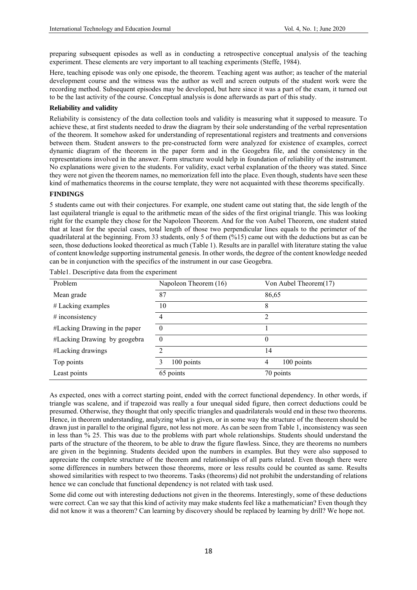preparing subsequent episodes as well as in conducting a retrospective conceptual analysis of the teaching experiment. These elements are very important to all teaching experiments (Steffe, 1984).

Here, teaching episode was only one episode, the theorem. Teaching agent was author; as teacher of the material development course and the witness was the author as well and screen outputs of the student work were the recording method. Subsequent episodes may be developed, but here since it was a part of the exam, it turned out to be the last activity of the course. Conceptual analysis is done afterwards as part of this study.

# **Reliability and validity**

Reliability is consistency of the data collection tools and validity is measuring what it supposed to measure. To achieve these, at first students needed to draw the diagram by their sole understanding of the verbal representation of the theorem. It somehow asked for understanding of representational registers and treatments and conversions between them. Student answers to the pre-constructed form were analyzed for existence of examples, correct dynamic diagram of the theorem in the paper form and in the Geogebra file, and the consistency in the representations involved in the answer. Form structure would help in foundation of reliability of the instrument. No explanations were given to the students. For validity, exact verbal explanation of the theory was stated. Since they were not given the theorem names, no memorization fell into the place. Even though, students have seen these kind of mathematics theorems in the course template, they were not acquainted with these theorems specifically.

## **FINDINGS**

5 students came out with their conjectures. For example, one student came out stating that, the side length of the last equilateral triangle is equal to the arithmetic mean of the sides of the first original triangle. This was looking right for the example they chose for the Napoleon Theorem. And for the von Aubel Theorem, one student stated that at least for the special cases, total length of those two perpendicular lines equals to the perimeter of the quadrilateral at the beginning. From 33 students, only 5 of them (%15) came out with the deductions but as can be seen, those deductions looked theoretical as much (Table 1). Results are in parallel with literature stating the value of content knowledge supporting instrumental genesis. In other words, the degree of the content knowledge needed can be in conjunction with the specifics of the instrument in our case Geogebra.

| Problem                       | Napoleon Theorem (16) | Von Aubel Theorem(17) |
|-------------------------------|-----------------------|-----------------------|
| Mean grade                    | 87                    | 86,65                 |
| $#$ Lacking examples          | 10                    | 8                     |
| # inconsistency               | 4                     | າ                     |
| #Lacking Drawing in the paper | $\Omega$              |                       |
| #Lacking Drawing by geogebra  | $\Omega$              | 0                     |
| #Lacking drawings             | ∍                     | 14                    |
| Top points                    | 100 points            | 100 points<br>4       |
| Least points                  | 65 points             | 70 points             |

Table1. Descriptive data from the experiment

As expected, ones with a correct starting point, ended with the correct functional dependency. In other words, if triangle was scalene, and if trapezoid was really a four unequal sided figure, then correct deductions could be presumed. Otherwise, they thought that only specific triangles and quadrilaterals would end in these two theorems. Hence, in theorem understanding, analyzing what is given, or in some way the structure of the theorem should be drawn just in parallel to the original figure, not less not more. As can be seen from Table 1, inconsistency was seen in less than % 25. This was due to the problems with part whole relationships. Students should understand the parts of the structure of the theorem, to be able to draw the figure flawless. Since, they are theorems no numbers are given in the beginning. Students decided upon the numbers in examples. But they were also supposed to appreciate the complete structure of the theorem and relationships of all parts related. Even though there were some differences in numbers between those theorems, more or less results could be counted as same. Results showed similarities with respect to two theorems. Tasks (theorems) did not prohibit the understanding of relations hence we can conclude that functional dependency is not related with task used.

Some did come out with interesting deductions not given in the theorems. Interestingly, some of these deductions were correct. Can we say that this kind of activity may make students feel like a mathematician? Even though they did not know it was a theorem? Can learning by discovery should be replaced by learning by drill? We hope not.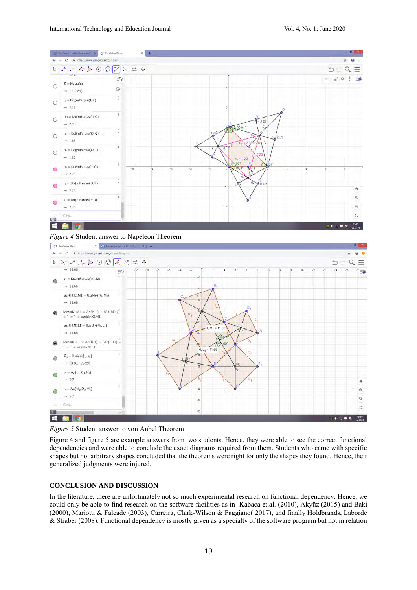

# *Figure 4* Student answer to Napeleon Theorem



#### *Figure 5* Student answer to von Aubel Theorem

Figure 4 and figure 5 are example answers from two students. Hence, they were able to see the correct functional dependencies and were able to conclude the exact diagrams required from them. Students who came with specific shapes but not arbitrary shapes concluded that the theorems were right for only the shapes they found. Hence, their generalized judgments were injured.

## **CONCLUSION AND DISCUSSION**

In the literature, there are unfortunately not so much experimental research on functional dependency. Hence, we could only be able to find research on the software facilities as in Kabaca et.al. (2010), Akyüz (2015) and Baki (2000), Mariotti & Falcade (2003), Carreira, Clark-Wilson & Faggiano( 2017), and finally Holdbrands, Laborde & Straber (2008). Functional dependency is mostly given as a specialty of the software program but not in relation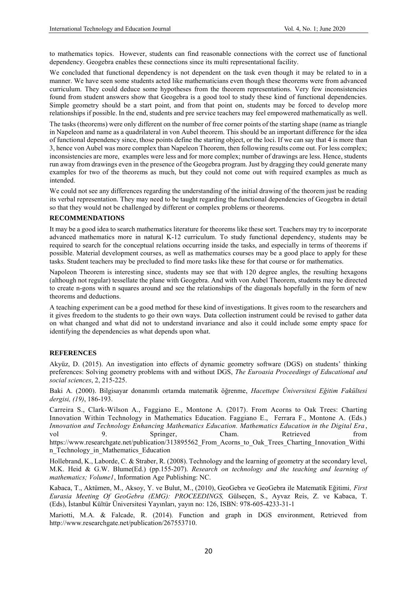to mathematics topics. However, students can find reasonable connections with the correct use of functional dependency. Geogebra enables these connections since its multi representational facility.

We concluded that functional dependency is not dependent on the task even though it may be related to in a manner. We have seen some students acted like mathematicians even though these theorems were from advanced curriculum. They could deduce some hypotheses from the theorem representations. Very few inconsistencies found from student answers show that Geogebra is a good tool to study these kind of functional dependencies. Simple geometry should be a start point, and from that point on, students may be forced to develop more relationships if possible. In the end, students and pre service teachers may feel empowered mathematically as well.

The tasks (theorems) were only different on the number of free corner points of the starting shape (name as triangle in Napeleon and name as a quadrilateral in von Aubel theorem. This should be an important difference for the idea of functional dependency since, those points define the starting object, or the loci. If we can say that 4 is more than 3, hence von Aubel was more complex than Napeleon Theorem, then following results come out. For less complex; inconsistencies are more, examples were less and for more complex; number of drawings are less. Hence, students run away from drawings even in the presence of the Geogebra program. Just by dragging they could generate many examples for two of the theorems as much, but they could not come out with required examples as much as intended.

We could not see any differences regarding the understanding of the initial drawing of the theorem just be reading its verbal representation. They may need to be taught regarding the functional dependencies of Geogebra in detail so that they would not be challenged by different or complex problems or theorems.

## **RECOMMENDATIONS**

It may be a good idea to search mathematics literature for theorems like these sort. Teachers may try to incorporate advanced mathematics more in natural K-12 curriculum. To study functional dependency, students may be required to search for the conceptual relations occurring inside the tasks, and especially in terms of theorems if possible. Material development courses, as well as mathematics courses may be a good place to apply for these tasks. Student teachers may be precluded to find more tasks like these for that course or for mathematics.

Napoleon Theorem is interesting since, students may see that with 120 degree angles, the resulting hexagons (although not regular) tessellate the plane with Geogebra. And with von Aubel Theorem, students may be directed to create n-gons with n squares around and see the relationships of the diagonals hopefully in the form of new theorems and deductions.

A teaching experiment can be a good method for these kind of investigations. It gives room to the researchers and it gives freedom to the students to go their own ways. Data collection instrument could be revised to gather data on what changed and what did not to understand invariance and also it could include some empty space for identifying the dependencies as what depends upon what.

## **REFERENCES**

Akyüz, D. (2015). An investigation into effects of dynamic geometry software (DGS) on students' thinking preferences: Solving geometry problems with and without DGS, *The Euroasia Proceedings of Educational and social sciences*, 2, 215-225.

Baki A. (2000). Bilgisayar donanımlı ortamda matematik öğrenme, *Hacettepe Üniversitesi Eğitim Fakültesi dergisi, (19)*, 186-193.

Carreira S., Clark-Wilson A., Faggiano E., Montone A. (2017). From Acorns to Oak Trees: Charting Innovation Within Technology in Mathematics Education. Faggiano E., Ferrara F., Montone A. (Eds.) *Innovation and Technology Enhancing Mathematics Education. Mathematics Education in the Digital Era* , vol 9. Springer, Cham. Retrieved from https://www.researchgate.net/publication/313895562 From Acorns to Oak Trees Charting Innovation Withi [n\\_Technology\\_in\\_Mathematics\\_Education](https://www.researchgate.net/publication/313895562_From_Acorns_to_Oak_Trees_Charting_Innovation_Within_Technology_in_Mathematics_Education)

Hollebrand, K., Laborde, C. & Straber, R. (2008). Technology and the learning of geometry at the secondary level, M.K. Heid & G.W. Blume(Ed.) (pp.155-207). *Research on technology and the teaching and learning of mathematics; Volume1*, Information Age Publishing: NC.

Kabaca, T., Aktümen, M., Aksoy, Y. ve Bulut, M., (2010), GeoGebra ve GeoGebra ile Matematik Eğitimi*, First Eurasia Meeting Of GeoGebra (EMG): PROCEEDINGS,* Gülseçen, S., Ayvaz Reis, Z. ve Kabaca, T. (Eds), İstanbul Kültür Üniversitesi Yayınları, yayın no: 126, ISBN: 978‐605‐4233‐31‐1

Mariotti, M.A. & Falcade, R. (2014). Function and graph in DGS environment, Retrieved from http://www.researchgate.net/publication/267553710.